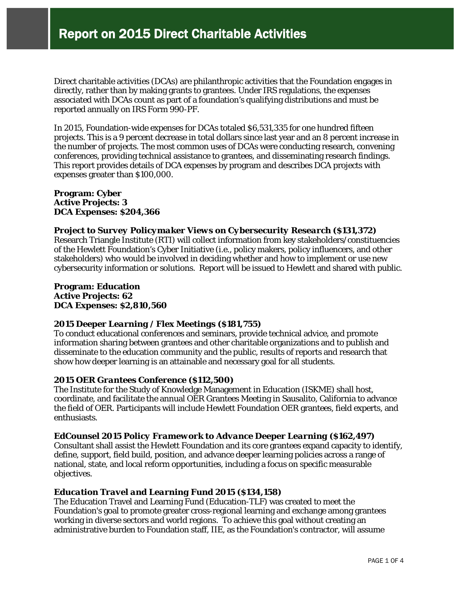Direct charitable activities (DCAs) are philanthropic activities that the Foundation engages in directly, rather than by making grants to grantees. Under IRS regulations, the expenses associated with DCAs count as part of a foundation's qualifying distributions and must be reported annually on IRS Form 990-PF.

In 2015, Foundation-wide expenses for DCAs totaled \$6,531,335 for one hundred fifteen projects. This is a 9 percent decrease in total dollars since last year and an 8 percent increase in the number of projects. The most common uses of DCAs were conducting research, convening conferences, providing technical assistance to grantees, and disseminating research findings. This report provides details of DCA expenses by program and describes DCA projects with expenses greater than \$100,000.

## **Program: Cyber Active Projects: 3 DCA Expenses: \$204,366**

## *Project to Survey Policymaker Views on Cybersecurity Research (\$131,372)*

Research Triangle Institute (RTI) will collect information from key stakeholders/constituencies of the Hewlett Foundation's Cyber Initiative (i.e., policy makers, policy influencers, and other stakeholders) who would be involved in deciding whether and how to implement or use new cybersecurity information or solutions. Report will be issued to Hewlett and shared with public.

**Program: Education Active Projects: 62 DCA Expenses: \$2,810,560**

## *2015 Deeper Learning / Flex Meetings (\$181,755)*

To conduct educational conferences and seminars, provide technical advice, and promote information sharing between grantees and other charitable organizations and to publish and disseminate to the education community and the public, results of reports and research that show how deeper learning is an attainable and necessary goal for all students.

## *2015 OER Grantees Conference (\$112,500)*

The Institute for the Study of Knowledge Management in Education (ISKME) shall host, coordinate, and facilitate the annual OER Grantees Meeting in Sausalito, California to advance the field of OER. Participants will include Hewlett Foundation OER grantees, field experts, and enthusiasts.

# *EdCounsel 2015 Policy Framework to Advance Deeper Learning (\$162,497)*

Consultant shall assist the Hewlett Foundation and its core grantees expand capacity to identify, define, support, field build, position, and advance deeper learning policies across a range of national, state, and local reform opportunities, including a focus on specific measurable objectives.

# *Education Travel and Learning Fund 2015 (\$134,158)*

The Education Travel and Learning Fund (Education-TLF) was created to meet the Foundation's goal to promote greater cross-regional learning and exchange among grantees working in diverse sectors and world regions. To achieve this goal without creating an administrative burden to Foundation staff, IIE, as the Foundation's contractor, will assume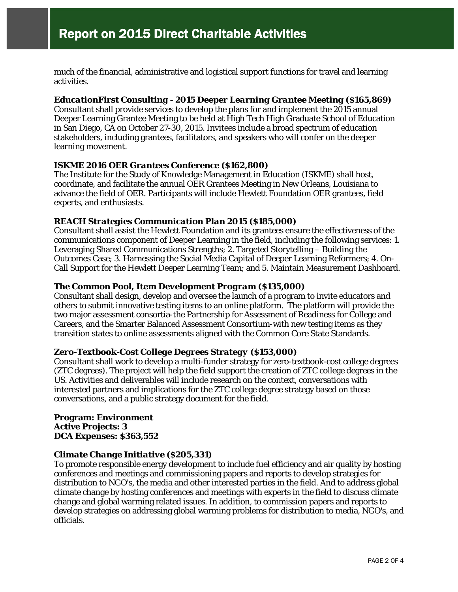much of the financial, administrative and logistical support functions for travel and learning activities.

# *EducationFirst Consulting - 2015 Deeper Learning Grantee Meeting (\$165,869)*

Consultant shall provide services to develop the plans for and implement the 2015 annual Deeper Learning Grantee Meeting to be held at High Tech High Graduate School of Education in San Diego, CA on October 27-30, 2015. Invitees include a broad spectrum of education stakeholders, including grantees, facilitators, and speakers who will confer on the deeper learning movement.

## *ISKME 2016 OER Grantees Conference (\$162,800)*

The Institute for the Study of Knowledge Management in Education (ISKME) shall host, coordinate, and facilitate the annual OER Grantees Meeting in New Orleans, Louisiana to advance the field of OER. Participants will include Hewlett Foundation OER grantees, field experts, and enthusiasts.

## *REACH Strategies Communication Plan 2015 (\$185,000)*

Consultant shall assist the Hewlett Foundation and its grantees ensure the effectiveness of the communications component of Deeper Learning in the field, including the following services: 1. Leveraging Shared Communications Strengths; 2. Targeted Storytelling – Building the Outcomes Case; 3. Harnessing the Social Media Capital of Deeper Learning Reformers; 4. On-Call Support for the Hewlett Deeper Learning Team; and 5. Maintain Measurement Dashboard.

## *The Common Pool, Item Development Program (\$135,000)*

Consultant shall design, develop and oversee the launch of a program to invite educators and others to submit innovative testing items to an online platform. The platform will provide the two major assessment consortia-the Partnership for Assessment of Readiness for College and Careers, and the Smarter Balanced Assessment Consortium-with new testing items as they transition states to online assessments aligned with the Common Core State Standards.

## *Zero-Textbook-Cost College Degrees Strategy (\$153,000)*

Consultant shall work to develop a multi-funder strategy for zero-textbook-cost college degrees (ZTC degrees). The project will help the field support the creation of ZTC college degrees in the US. Activities and deliverables will include research on the context, conversations with interested partners and implications for the ZTC college degree strategy based on those conversations, and a public strategy document for the field.

#### **Program: Environment Active Projects: 3 DCA Expenses: \$363,552**

## *Climate Change Initiative (\$205,331)*

To promote responsible energy development to include fuel efficiency and air quality by hosting conferences and meetings and commissioning papers and reports to develop strategies for distribution to NGO's, the media and other interested parties in the field. And to address global climate change by hosting conferences and meetings with experts in the field to discuss climate change and global warming related issues. In addition, to commission papers and reports to develop strategies on addressing global warming problems for distribution to media, NGO's, and officials.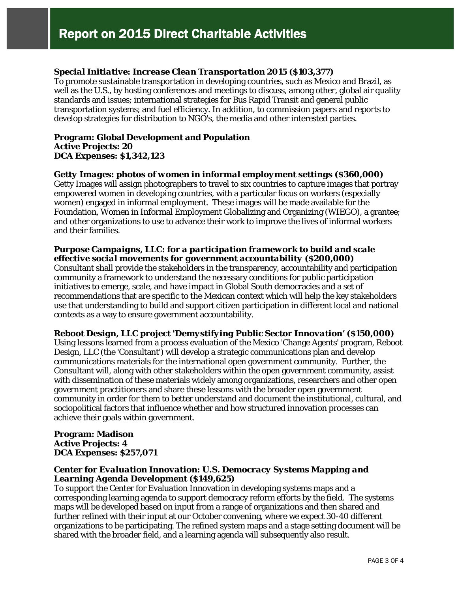# *Special Initiative: Increase Clean Transportation 2015 (\$103,377)*

To promote sustainable transportation in developing countries, such as Mexico and Brazil, as well as the U.S., by hosting conferences and meetings to discuss, among other, global air quality standards and issues; international strategies for Bus Rapid Transit and general public transportation systems; and fuel efficiency. In addition, to commission papers and reports to develop strategies for distribution to NGO's, the media and other interested parties.

#### **Program: Global Development and Population Active Projects: 20 DCA Expenses: \$1,342,123**

#### *Getty Images: photos of women in informal employment settings (\$360,000)*

Getty Images will assign photographers to travel to six countries to capture images that portray empowered women in developing countries, with a particular focus on workers (especially women) engaged in informal employment. These images will be made available for the Foundation, Women in Informal Employment Globalizing and Organizing (WIEGO), a grantee; and other organizations to use to advance their work to improve the lives of informal workers and their families.

## *Purpose Campaigns, LLC: for a participation framework to build and scale effective social movements for government accountability (\$200,000)*

Consultant shall provide the stakeholders in the transparency, accountability and participation community a framework to understand the necessary conditions for public participation initiatives to emerge, scale, and have impact in Global South democracies and a set of recommendations that are specific to the Mexican context which will help the key stakeholders use that understanding to build and support citizen participation in different local and national contexts as a way to ensure government accountability.

#### *Reboot Design, LLC project 'Demystifying Public Sector Innovation' (\$150,000)*

Using lessons learned from a process evaluation of the Mexico 'Change Agents' program, Reboot Design, LLC (the 'Consultant') will develop a strategic communications plan and develop communications materials for the international open government community. Further, the Consultant will, along with other stakeholders within the open government community, assist with dissemination of these materials widely among organizations, researchers and other open government practitioners and share these lessons with the broader open government community in order for them to better understand and document the institutional, cultural, and sociopolitical factors that influence whether and how structured innovation processes can achieve their goals within government.

## **Program: Madison Active Projects: 4 DCA Expenses: \$257,071**

## *Center for Evaluation Innovation: U.S. Democracy Systems Mapping and Learning Agenda Development (\$149,625)*

To support the Center for Evaluation Innovation in developing systems maps and a corresponding learning agenda to support democracy reform efforts by the field. The systems maps will be developed based on input from a range of organizations and then shared and further refined with their input at our October convening, where we expect 30-40 different organizations to be participating. The refined system maps and a stage setting document will be shared with the broader field, and a learning agenda will subsequently also result.